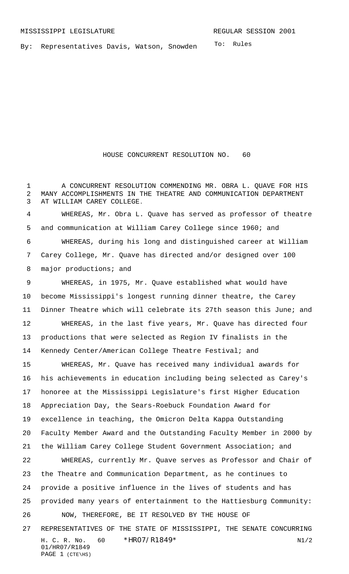To: Rules By: Representatives Davis, Watson, Snowden

HOUSE CONCURRENT RESOLUTION NO. 60

 A CONCURRENT RESOLUTION COMMENDING MR. OBRA L. QUAVE FOR HIS MANY ACCOMPLISHMENTS IN THE THEATRE AND COMMUNICATION DEPARTMENT AT WILLIAM CAREY COLLEGE.

 WHEREAS, Mr. Obra L. Quave has served as professor of theatre and communication at William Carey College since 1960; and WHEREAS, during his long and distinguished career at William Carey College, Mr. Quave has directed and/or designed over 100 8 major productions; and

 WHEREAS, in 1975, Mr. Quave established what would have become Mississippi's longest running dinner theatre, the Carey Dinner Theatre which will celebrate its 27th season this June; and WHEREAS, in the last five years, Mr. Quave has directed four productions that were selected as Region IV finalists in the Kennedy Center/American College Theatre Festival; and

H. C. R. No.  $60 * HRO7/R1849*$  N1/2 01/HR07/R1849 PAGE 1 (CTE\HS) WHEREAS, Mr. Quave has received many individual awards for his achievements in education including being selected as Carey's honoree at the Mississippi Legislature's first Higher Education Appreciation Day, the Sears-Roebuck Foundation Award for excellence in teaching, the Omicron Delta Kappa Outstanding Faculty Member Award and the Outstanding Faculty Member in 2000 by the William Carey College Student Government Association; and WHEREAS, currently Mr. Quave serves as Professor and Chair of the Theatre and Communication Department, as he continues to provide a positive influence in the lives of students and has provided many years of entertainment to the Hattiesburg Community: NOW, THEREFORE, BE IT RESOLVED BY THE HOUSE OF REPRESENTATIVES OF THE STATE OF MISSISSIPPI, THE SENATE CONCURRING